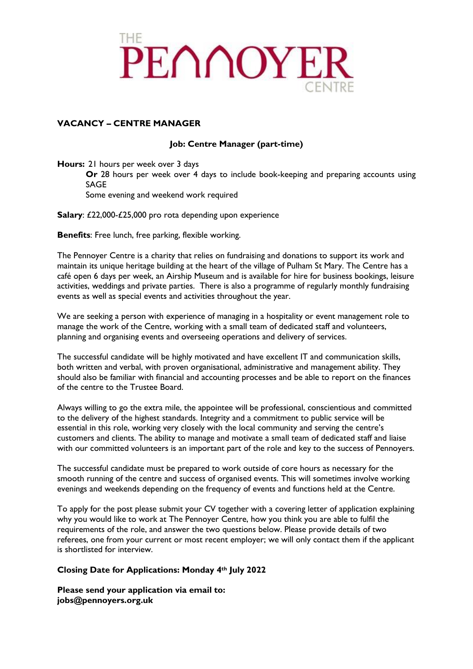

## **VACANCY – CENTRE MANAGER**

# **Job: Centre Manager (part-time)**

**Hours:** 21 hours per week over 3 days

**Or** 28 hours per week over 4 days to include book-keeping and preparing accounts using SAGE

Some evening and weekend work required

**Salary**: £22,000-£25,000 pro rota depending upon experience

**Benefits**: Free lunch, free parking, flexible working.

The Pennoyer Centre is a charity that relies on fundraising and donations to support its work and maintain its unique heritage building at the heart of the village of Pulham St Mary. The Centre has a café open 6 days per week, an Airship Museum and is available for hire for business bookings, leisure activities, weddings and private parties. There is also a programme of regularly monthly fundraising events as well as special events and activities throughout the year.

We are seeking a person with experience of managing in a hospitality or event management role to manage the work of the Centre, working with a small team of dedicated staff and volunteers, planning and organising events and overseeing operations and delivery of services.

The successful candidate will be highly motivated and have excellent IT and communication skills, both written and verbal, with proven organisational, administrative and management ability. They should also be familiar with financial and accounting processes and be able to report on the finances of the centre to the Trustee Board.

Always willing to go the extra mile, the appointee will be professional, conscientious and committed to the delivery of the highest standards. Integrity and a commitment to public service will be essential in this role, working very closely with the local community and serving the centre's customers and clients. The ability to manage and motivate a small team of dedicated staff and liaise with our committed volunteers is an important part of the role and key to the success of Pennoyers.

The successful candidate must be prepared to work outside of core hours as necessary for the smooth running of the centre and success of organised events. This will sometimes involve working evenings and weekends depending on the frequency of events and functions held at the Centre.

To apply for the post please submit your CV together with a covering letter of application explaining why you would like to work at The Pennoyer Centre, how you think you are able to fulfil the requirements of the role, and answer the two questions below. Please provide details of two referees, one from your current or most recent employer; we will only contact them if the applicant is shortlisted for interview.

## **Closing Date for Applications: Monday 4th July 2022**

**Please send your application via email to: jobs@pennoyers.org.uk**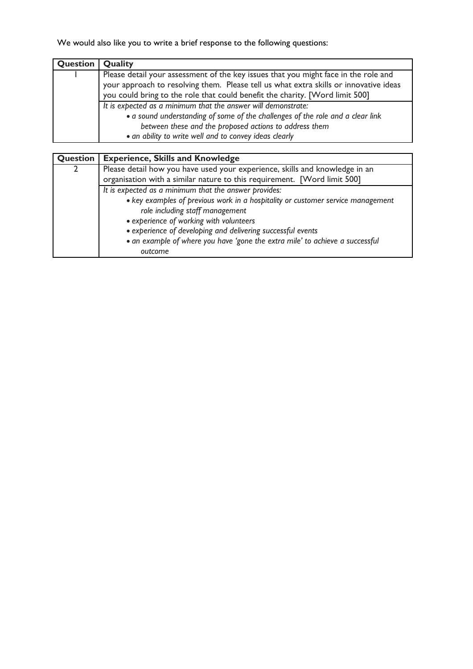We would also like you to write a brief response to the following questions:

| Question | Quality                                                                                                                                                                                                                                                             |
|----------|---------------------------------------------------------------------------------------------------------------------------------------------------------------------------------------------------------------------------------------------------------------------|
|          | Please detail your assessment of the key issues that you might face in the role and<br>your approach to resolving them. Please tell us what extra skills or innovative ideas<br>you could bring to the role that could benefit the charity. [Word limit 500]        |
|          | It is expected as a minimum that the answer will demonstrate:<br>• a sound understanding of some of the challenges of the role and a clear link<br>between these and the proposed actions to address them<br>· an ability to write well and to convey ideas clearly |

| Question | <b>Experience, Skills and Knowledge</b>                                         |
|----------|---------------------------------------------------------------------------------|
|          | Please detail how you have used your experience, skills and knowledge in an     |
|          | organisation with a similar nature to this requirement. [Word limit 500]        |
|          | It is expected as a minimum that the answer provides:                           |
|          | • key examples of previous work in a hospitality or customer service management |
|          | role including staff management                                                 |
|          | • experience of working with volunteers                                         |
|          | • experience of developing and delivering successful events                     |
|          | · an example of where you have 'gone the extra mile' to achieve a successful    |
|          | outcome                                                                         |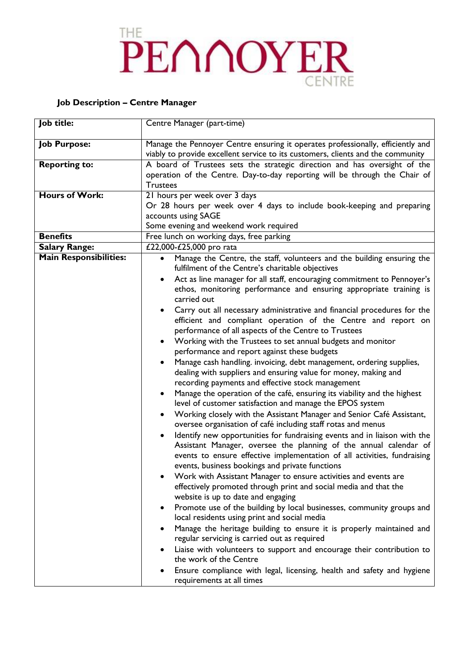# PENNOYER

# **Job Description – Centre Manager**

| Job title:                    | Centre Manager (part-time)                                                                                                              |  |  |
|-------------------------------|-----------------------------------------------------------------------------------------------------------------------------------------|--|--|
| <b>Job Purpose:</b>           | Manage the Pennoyer Centre ensuring it operates professionally, efficiently and                                                         |  |  |
|                               | viably to provide excellent service to its customers, clients and the community                                                         |  |  |
| <b>Reporting to:</b>          | A board of Trustees sets the strategic direction and has oversight of the                                                               |  |  |
|                               | operation of the Centre. Day-to-day reporting will be through the Chair of                                                              |  |  |
|                               | <b>Trustees</b>                                                                                                                         |  |  |
| <b>Hours of Work:</b>         | 21 hours per week over 3 days                                                                                                           |  |  |
|                               | Or 28 hours per week over 4 days to include book-keeping and preparing                                                                  |  |  |
|                               | accounts using SAGE                                                                                                                     |  |  |
|                               | Some evening and weekend work required                                                                                                  |  |  |
| <b>Benefits</b>               | Free lunch on working days, free parking                                                                                                |  |  |
| <b>Salary Range:</b>          | £22,000-£25,000 pro rata                                                                                                                |  |  |
| <b>Main Responsibilities:</b> | Manage the Centre, the staff, volunteers and the building ensuring the<br>$\bullet$<br>fulfilment of the Centre's charitable objectives |  |  |
|                               | Act as line manager for all staff, encouraging commitment to Pennoyer's                                                                 |  |  |
|                               | ethos, monitoring performance and ensuring appropriate training is                                                                      |  |  |
|                               | carried out                                                                                                                             |  |  |
|                               | Carry out all necessary administrative and financial procedures for the<br>$\bullet$                                                    |  |  |
|                               | efficient and compliant operation of the Centre and report on                                                                           |  |  |
|                               | performance of all aspects of the Centre to Trustees                                                                                    |  |  |
|                               | Working with the Trustees to set annual budgets and monitor                                                                             |  |  |
|                               | performance and report against these budgets                                                                                            |  |  |
|                               | Manage cash handling. invoicing, debt management, ordering supplies,                                                                    |  |  |
|                               | dealing with suppliers and ensuring value for money, making and                                                                         |  |  |
|                               | recording payments and effective stock management                                                                                       |  |  |
|                               | Manage the operation of the café, ensuring its viability and the highest<br>level of customer satisfaction and manage the EPOS system   |  |  |
|                               | Working closely with the Assistant Manager and Senior Café Assistant,                                                                   |  |  |
|                               | oversee organisation of café including staff rotas and menus                                                                            |  |  |
|                               | Identify new opportunities for fundraising events and in liaison with the                                                               |  |  |
|                               | Assistant Manager, oversee the planning of the annual calendar of                                                                       |  |  |
|                               | events to ensure effective implementation of all activities, fundraising                                                                |  |  |
|                               | events, business bookings and private functions                                                                                         |  |  |
|                               | Work with Assistant Manager to ensure activities and events are                                                                         |  |  |
|                               | effectively promoted through print and social media and that the                                                                        |  |  |
|                               | website is up to date and engaging                                                                                                      |  |  |
|                               | Promote use of the building by local businesses, community groups and                                                                   |  |  |
|                               | local residents using print and social media                                                                                            |  |  |
|                               | Manage the heritage building to ensure it is properly maintained and                                                                    |  |  |
|                               | regular servicing is carried out as required                                                                                            |  |  |
|                               | Liaise with volunteers to support and encourage their contribution to                                                                   |  |  |
|                               | the work of the Centre                                                                                                                  |  |  |
|                               | Ensure compliance with legal, licensing, health and safety and hygiene                                                                  |  |  |
|                               | requirements at all times                                                                                                               |  |  |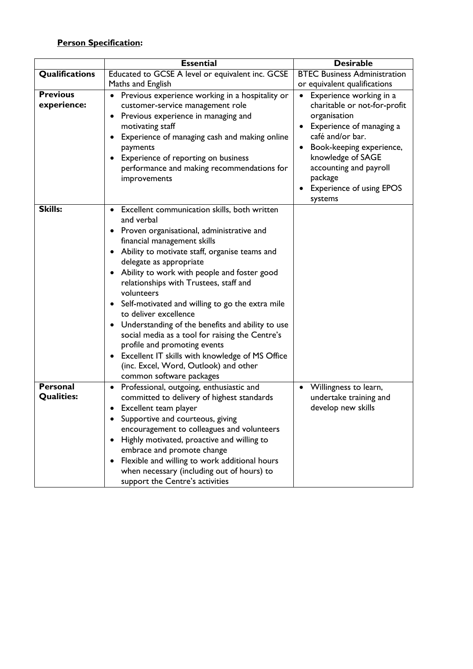# **Person Specification:**

|                                      | <b>Essential</b>                                                                                                                                                                                                                                                                                                                                                                                                                                                                                                                                                                                                                                                                                                                             | <b>Desirable</b>                                                                                                                                                                                                                                                                      |
|--------------------------------------|----------------------------------------------------------------------------------------------------------------------------------------------------------------------------------------------------------------------------------------------------------------------------------------------------------------------------------------------------------------------------------------------------------------------------------------------------------------------------------------------------------------------------------------------------------------------------------------------------------------------------------------------------------------------------------------------------------------------------------------------|---------------------------------------------------------------------------------------------------------------------------------------------------------------------------------------------------------------------------------------------------------------------------------------|
| Qualifications                       | Educated to GCSE A level or equivalent inc. GCSE                                                                                                                                                                                                                                                                                                                                                                                                                                                                                                                                                                                                                                                                                             | <b>BTEC Business Administration</b>                                                                                                                                                                                                                                                   |
|                                      | Maths and English                                                                                                                                                                                                                                                                                                                                                                                                                                                                                                                                                                                                                                                                                                                            | or equivalent qualifications                                                                                                                                                                                                                                                          |
| <b>Previous</b><br>experience:       | Previous experience working in a hospitality or<br>٠<br>customer-service management role<br>Previous experience in managing and<br>٠<br>motivating staff<br>Experience of managing cash and making online<br>٠<br>payments<br>Experience of reporting on business<br>$\bullet$<br>performance and making recommendations for<br>improvements                                                                                                                                                                                                                                                                                                                                                                                                 | Experience working in a<br>charitable or not-for-profit<br>organisation<br>Experience of managing a<br>$\bullet$<br>café and/or bar.<br>Book-keeping experience,<br>knowledge of SAGE<br>accounting and payroll<br>package<br><b>Experience of using EPOS</b><br>$\bullet$<br>systems |
| <b>Skills:</b>                       | Excellent communication skills, both written<br>$\bullet$<br>and verbal<br>Proven organisational, administrative and<br>$\bullet$<br>financial management skills<br>Ability to motivate staff, organise teams and<br>٠<br>delegate as appropriate<br>Ability to work with people and foster good<br>$\bullet$<br>relationships with Trustees, staff and<br>volunteers<br>• Self-motivated and willing to go the extra mile<br>to deliver excellence<br>Understanding of the benefits and ability to use<br>$\bullet$<br>social media as a tool for raising the Centre's<br>profile and promoting events<br>Excellent IT skills with knowledge of MS Office<br>$\bullet$<br>(inc. Excel, Word, Outlook) and other<br>common software packages |                                                                                                                                                                                                                                                                                       |
| <b>Personal</b><br><b>Qualities:</b> | Professional, outgoing, enthusiastic and<br>٠<br>committed to delivery of highest standards<br>Excellent team player<br>٠<br>Supportive and courteous, giving<br>encouragement to colleagues and volunteers<br>Highly motivated, proactive and willing to<br>$\bullet$<br>embrace and promote change<br>Flexible and willing to work additional hours<br>$\bullet$<br>when necessary (including out of hours) to<br>support the Centre's activities                                                                                                                                                                                                                                                                                          | Willingness to learn,<br>undertake training and<br>develop new skills                                                                                                                                                                                                                 |